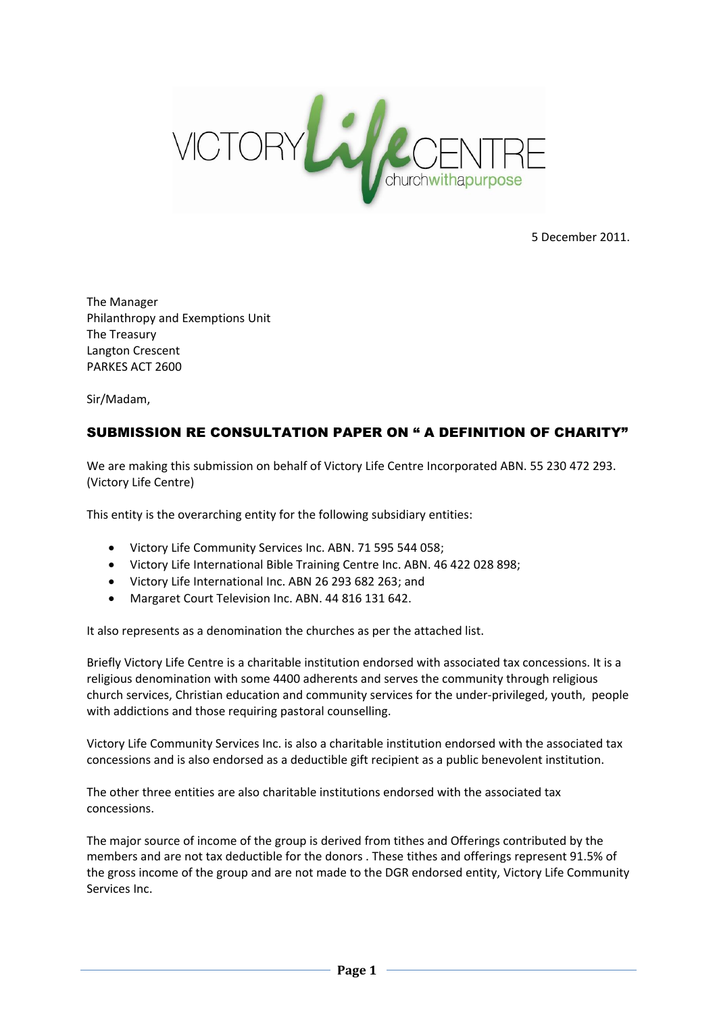

5 December 2011.

The Manager Philanthropy and Exemptions Unit The Treasury Langton Crescent PARKES ACT 2600

Sir/Madam,

# SUBMISSION RE CONSULTATION PAPER ON " A DEFINITION OF CHARITY"

We are making this submission on behalf of Victory Life Centre Incorporated ABN. 55 230 472 293. (Victory Life Centre)

This entity is the overarching entity for the following subsidiary entities:

- Victory Life Community Services Inc. ABN. 71 595 544 058;
- Victory Life International Bible Training Centre Inc. ABN. 46 422 028 898;
- Victory Life International Inc. ABN 26 293 682 263; and
- Margaret Court Television Inc. ABN. 44 816 131 642.

It also represents as a denomination the churches as per the attached list.

Briefly Victory Life Centre is a charitable institution endorsed with associated tax concessions. It is a religious denomination with some 4400 adherents and serves the community through religious church services, Christian education and community services for the under-privileged, youth, people with addictions and those requiring pastoral counselling.

Victory Life Community Services Inc. is also a charitable institution endorsed with the associated tax concessions and is also endorsed as a deductible gift recipient as a public benevolent institution.

The other three entities are also charitable institutions endorsed with the associated tax concessions.

The major source of income of the group is derived from tithes and Offerings contributed by the members and are not tax deductible for the donors . These tithes and offerings represent 91.5% of the gross income of the group and are not made to the DGR endorsed entity, Victory Life Community Services Inc.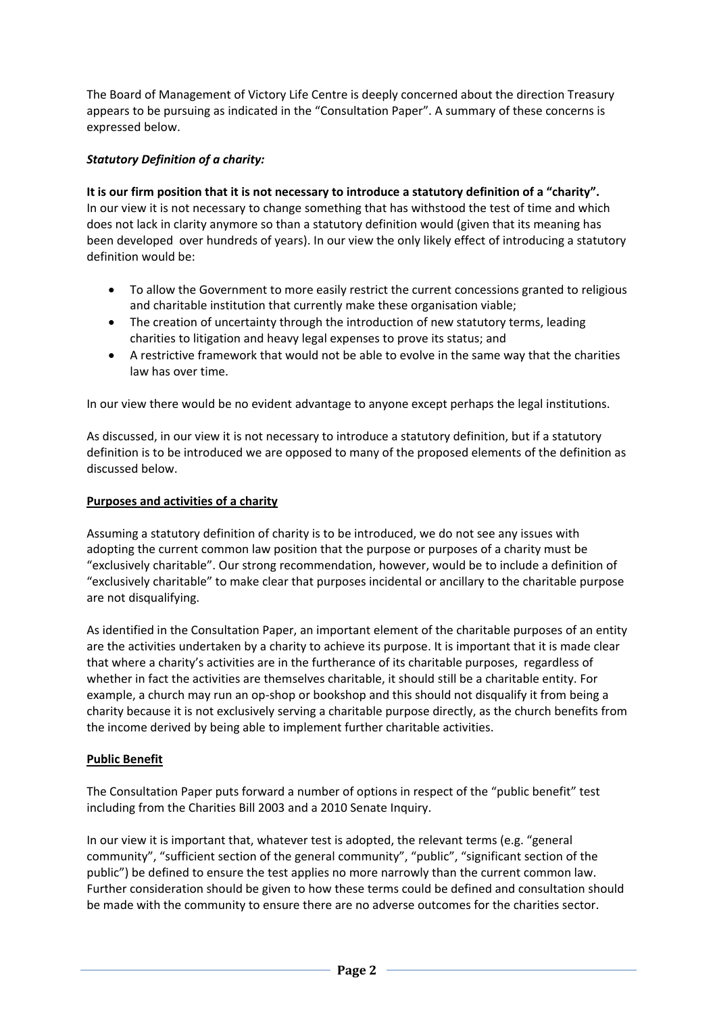The Board of Management of Victory Life Centre is deeply concerned about the direction Treasury appears to be pursuing as indicated in the "Consultation Paper". A summary of these concerns is expressed below.

# *Statutory Definition of a charity:*

**It is our firm position that it is not necessary to introduce a statutory definition of a "charity".** In our view it is not necessary to change something that has withstood the test of time and which does not lack in clarity anymore so than a statutory definition would (given that its meaning has been developed over hundreds of years). In our view the only likely effect of introducing a statutory definition would be:

- To allow the Government to more easily restrict the current concessions granted to religious and charitable institution that currently make these organisation viable;
- The creation of uncertainty through the introduction of new statutory terms, leading charities to litigation and heavy legal expenses to prove its status; and
- A restrictive framework that would not be able to evolve in the same way that the charities law has over time.

In our view there would be no evident advantage to anyone except perhaps the legal institutions.

As discussed, in our view it is not necessary to introduce a statutory definition, but if a statutory definition is to be introduced we are opposed to many of the proposed elements of the definition as discussed below.

## **Purposes and activities of a charity**

Assuming a statutory definition of charity is to be introduced, we do not see any issues with adopting the current common law position that the purpose or purposes of a charity must be "exclusively charitable". Our strong recommendation, however, would be to include a definition of "exclusively charitable" to make clear that purposes incidental or ancillary to the charitable purpose are not disqualifying.

As identified in the Consultation Paper, an important element of the charitable purposes of an entity are the activities undertaken by a charity to achieve its purpose. It is important that it is made clear that where a charity's activities are in the furtherance of its charitable purposes, regardless of whether in fact the activities are themselves charitable, it should still be a charitable entity. For example, a church may run an op-shop or bookshop and this should not disqualify it from being a charity because it is not exclusively serving a charitable purpose directly, as the church benefits from the income derived by being able to implement further charitable activities.

## **Public Benefit**

The Consultation Paper puts forward a number of options in respect of the "public benefit" test including from the Charities Bill 2003 and a 2010 Senate Inquiry.

In our view it is important that, whatever test is adopted, the relevant terms (e.g. "general community", "sufficient section of the general community", "public", "significant section of the public") be defined to ensure the test applies no more narrowly than the current common law. Further consideration should be given to how these terms could be defined and consultation should be made with the community to ensure there are no adverse outcomes for the charities sector.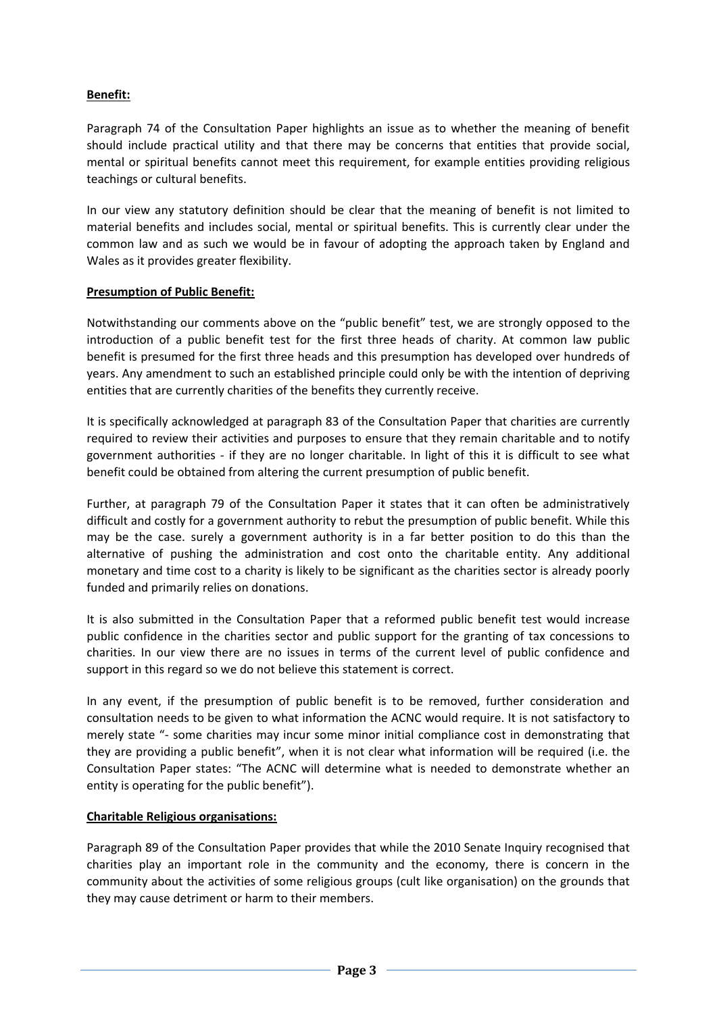# **Benefit:**

Paragraph 74 of the Consultation Paper highlights an issue as to whether the meaning of benefit should include practical utility and that there may be concerns that entities that provide social, mental or spiritual benefits cannot meet this requirement, for example entities providing religious teachings or cultural benefits.

In our view any statutory definition should be clear that the meaning of benefit is not limited to material benefits and includes social, mental or spiritual benefits. This is currently clear under the common law and as such we would be in favour of adopting the approach taken by England and Wales as it provides greater flexibility.

#### **Presumption of Public Benefit:**

Notwithstanding our comments above on the "public benefit" test, we are strongly opposed to the introduction of a public benefit test for the first three heads of charity. At common law public benefit is presumed for the first three heads and this presumption has developed over hundreds of years. Any amendment to such an established principle could only be with the intention of depriving entities that are currently charities of the benefits they currently receive.

It is specifically acknowledged at paragraph 83 of the Consultation Paper that charities are currently required to review their activities and purposes to ensure that they remain charitable and to notify government authorities - if they are no longer charitable. In light of this it is difficult to see what benefit could be obtained from altering the current presumption of public benefit.

Further, at paragraph 79 of the Consultation Paper it states that it can often be administratively difficult and costly for a government authority to rebut the presumption of public benefit. While this may be the case. surely a government authority is in a far better position to do this than the alternative of pushing the administration and cost onto the charitable entity. Any additional monetary and time cost to a charity is likely to be significant as the charities sector is already poorly funded and primarily relies on donations.

It is also submitted in the Consultation Paper that a reformed public benefit test would increase public confidence in the charities sector and public support for the granting of tax concessions to charities. In our view there are no issues in terms of the current level of public confidence and support in this regard so we do not believe this statement is correct.

In any event, if the presumption of public benefit is to be removed, further consideration and consultation needs to be given to what information the ACNC would require. It is not satisfactory to merely state "- some charities may incur some minor initial compliance cost in demonstrating that they are providing a public benefit", when it is not clear what information will be required (i.e. the Consultation Paper states: "The ACNC will determine what is needed to demonstrate whether an entity is operating for the public benefit").

## **Charitable Religious organisations:**

Paragraph 89 of the Consultation Paper provides that while the 2010 Senate Inquiry recognised that charities play an important role in the community and the economy, there is concern in the community about the activities of some religious groups (cult like organisation) on the grounds that they may cause detriment or harm to their members.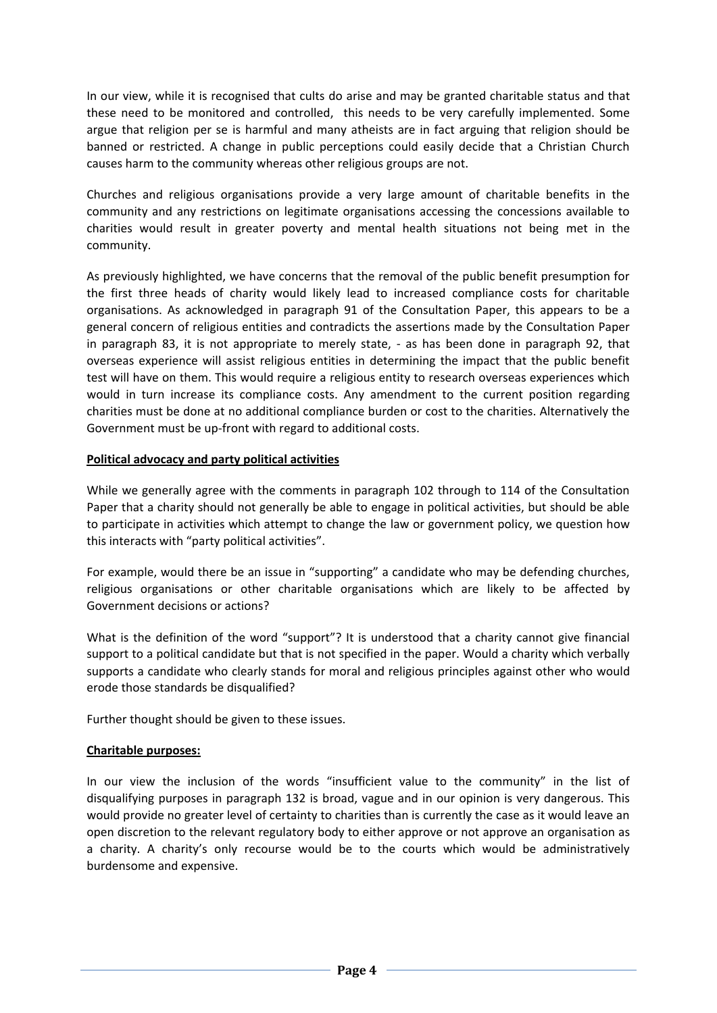In our view, while it is recognised that cults do arise and may be granted charitable status and that these need to be monitored and controlled, this needs to be very carefully implemented. Some argue that religion per se is harmful and many atheists are in fact arguing that religion should be banned or restricted. A change in public perceptions could easily decide that a Christian Church causes harm to the community whereas other religious groups are not.

Churches and religious organisations provide a very large amount of charitable benefits in the community and any restrictions on legitimate organisations accessing the concessions available to charities would result in greater poverty and mental health situations not being met in the community.

As previously highlighted, we have concerns that the removal of the public benefit presumption for the first three heads of charity would likely lead to increased compliance costs for charitable organisations. As acknowledged in paragraph 91 of the Consultation Paper, this appears to be a general concern of religious entities and contradicts the assertions made by the Consultation Paper in paragraph 83, it is not appropriate to merely state, - as has been done in paragraph 92, that overseas experience will assist religious entities in determining the impact that the public benefit test will have on them. This would require a religious entity to research overseas experiences which would in turn increase its compliance costs. Any amendment to the current position regarding charities must be done at no additional compliance burden or cost to the charities. Alternatively the Government must be up-front with regard to additional costs.

## **Political advocacy and party political activities**

While we generally agree with the comments in paragraph 102 through to 114 of the Consultation Paper that a charity should not generally be able to engage in political activities, but should be able to participate in activities which attempt to change the law or government policy, we question how this interacts with "party political activities".

For example, would there be an issue in "supporting" a candidate who may be defending churches, religious organisations or other charitable organisations which are likely to be affected by Government decisions or actions?

What is the definition of the word "support"? It is understood that a charity cannot give financial support to a political candidate but that is not specified in the paper. Would a charity which verbally supports a candidate who clearly stands for moral and religious principles against other who would erode those standards be disqualified?

Further thought should be given to these issues.

#### **Charitable purposes:**

In our view the inclusion of the words "insufficient value to the community" in the list of disqualifying purposes in paragraph 132 is broad, vague and in our opinion is very dangerous. This would provide no greater level of certainty to charities than is currently the case as it would leave an open discretion to the relevant regulatory body to either approve or not approve an organisation as a charity. A charity's only recourse would be to the courts which would be administratively burdensome and expensive.